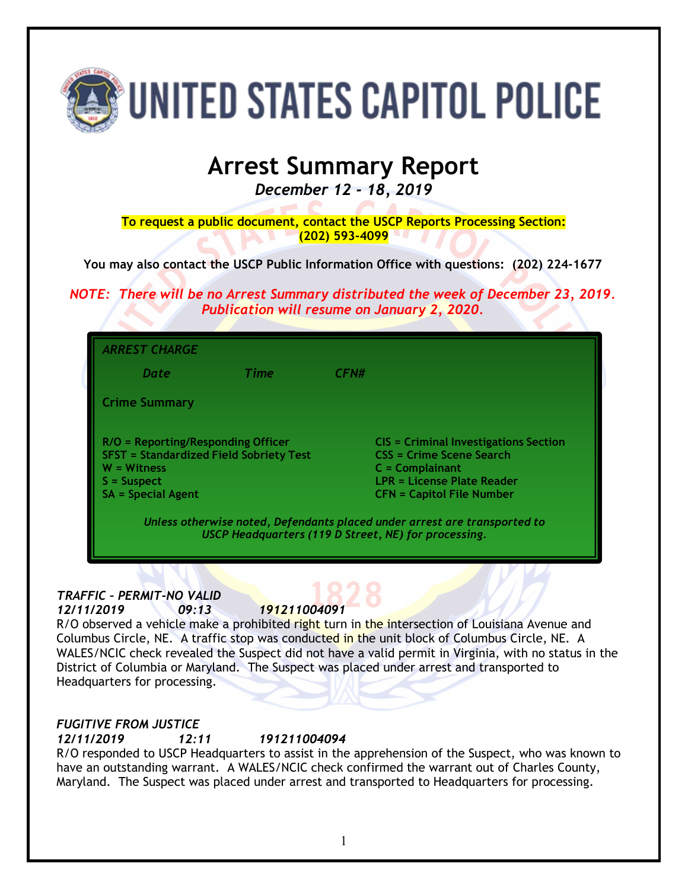

# **Arrest Summary Report**

*December 12 - 18, 2019*

**To request a public document, contact the USCP Reports Processing Section: (202) 593-4099**

**You may also contact the USCP Public Information Office with questions: (202) 224-1677**

*NOTE: There will be no Arrest Summary distributed the week of December 23, 2019. Publication will resume on January 2, 2020.*

| <b>ARREST CHARGE</b>                                                                                                                                  |             |                                                                                                                                                                        |
|-------------------------------------------------------------------------------------------------------------------------------------------------------|-------------|------------------------------------------------------------------------------------------------------------------------------------------------------------------------|
| Date.                                                                                                                                                 | <b>Time</b> | CFN#                                                                                                                                                                   |
| <b>Crime Summary</b>                                                                                                                                  |             |                                                                                                                                                                        |
| $R/O = Reporting/Responding Officer$<br><b>SFST = Standardized Field Sobriety Test</b><br>$W = Witness$<br>$S =$ Suspect<br><b>SA = Special Agent</b> |             | <b>CIS = Criminal Investigations Section</b><br>CSS = Crime Scene Search<br>$C = Complainant$<br><b>LPR = License Plate Reader</b><br><b>CFN = Capitol File Number</b> |
|                                                                                                                                                       |             | Unless otherwise noted, Defendants placed under arrest are transported to<br>USCP Headquarters (119 D Street, NE) for processing.                                      |

*TRAFFIC – PERMIT-NO VALID 12/11/2019 09:13 191211004091*

R/O observed a vehicle make a prohibited right turn in the intersection of Louisiana Avenue and Columbus Circle, NE. A traffic stop was conducted in the unit block of Columbus Circle, NE. A WALES/NCIC check revealed the Suspect did not have a valid permit in Virginia, with no status in the District of Columbia or Maryland. The Suspect was placed under arrest and transported to Headquarters for processing.

## *FUGITIVE FROM JUSTICE*

*12/11/2019 12:11 191211004094*

R/O responded to USCP Headquarters to assist in the apprehension of the Suspect, who was known to have an outstanding warrant. A WALES/NCIC check confirmed the warrant out of Charles County, Maryland. The Suspect was placed under arrest and transported to Headquarters for processing.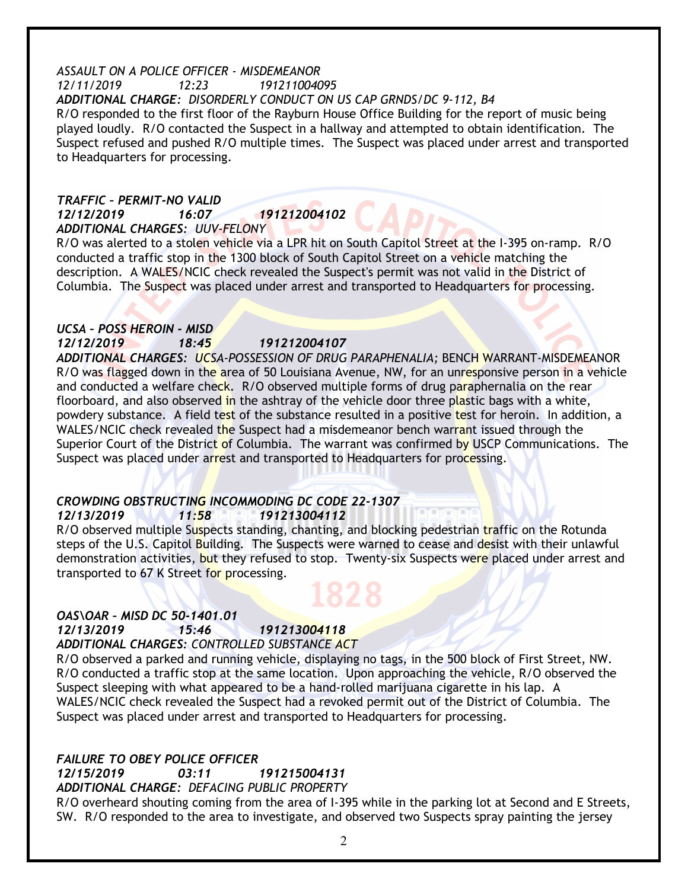#### *ASSAULT ON A POLICE OFFICER - MISDEMEANOR 12/11/2019 12:23 191211004095 ADDITIONAL CHARGE: DISORDERLY CONDUCT ON US CAP GRNDS/DC 9-112, B4* R/O responded to the first floor of the Rayburn House Office Building for the report of music being played loudly. R/O contacted the Suspect in a hallway and attempted to obtain identification. The Suspect refused and pushed R/O multiple times. The Suspect was placed under arrest and transported to Headquarters for processing.

#### *TRAFFIC – PERMIT-NO VALID 12/12/2019 16:07 191212004102 ADDITIONAL CHARGES: UUV-FELONY*

R/O was alerted to a stolen vehicle via a LPR hit on South Capitol Street at the I-395 on-ramp. R/O conducted a traffic stop in the 1300 block of South Capitol Street on a vehicle matching the description. A WALES/NCIC check revealed the Suspect's permit was not valid in the District of Columbia. The Suspect was placed under arrest and transported to Headquarters for processing.

## *UCSA – POSS HEROIN - MISD*

*12/12/2019 18:45 191212004107*

*ADDITIONAL CHARGES: UCSA-POSSESSION OF DRUG PARAPHENALIA;* BENCH WARRANT-MISDEMEANOR R/O was flagged down in the area of 50 Louisiana Avenue, NW, for an unresponsive person in a vehicle and conducted a welfare check. R/O observed multiple forms of drug paraphernalia on the rear floorboard, and also observed in the ashtray of the vehicle door three plastic bags with a white, powdery substance. A field test of the substance resulted in a positive test for heroin. In addition, a WALES/NCIC check revealed the Suspect had a misdemeanor bench warrant issued through the Superior Court of the District of Columbia. The warrant was confirmed by USCP Communications. The Suspect was placed under arrest and transported to Headquarters for processing.

# *CROWDING OBSTRUCTING INCOMMODING DC CODE 22-1307*

*12/13/2019 11:58 191213004112*

R/O observed multiple Suspects standing, chanting, and blocking pedestrian traffic on the Rotunda steps of the U.S. Capitol Building. The Suspects were warned to cease and desist with their unlawful demonstration activities, but they refused to stop. Twenty-six Suspects were placed under arrest and transported to 67 K Street for processing.

# *OAS\OAR – MISD DC 50-1401.01*

*12/13/2019 15:46 191213004118*

*ADDITIONAL CHARGES: CONTROLLED SUBSTANCE ACT*

R/O observed a parked and running vehicle, displaying no tags, in the 500 block of First Street, NW. R/O conducted a traffic stop at the same location. Upon approaching the vehicle, R/O observed the Suspect sleeping with what appeared to be a hand-rolled marijuana cigarette in his lap. A WALES/NCIC check revealed the Suspect had a revoked permit out of the District of Columbia. The Suspect was placed under arrest and transported to Headquarters for processing.

# *FAILURE TO OBEY POLICE OFFICER*

*12/15/2019 03:11 191215004131*

*ADDITIONAL CHARGE: DEFACING PUBLIC PROPERTY*

R/O overheard shouting coming from the area of I-395 while in the parking lot at Second and E Streets, SW. R/O responded to the area to investigate, and observed two Suspects spray painting the jersey